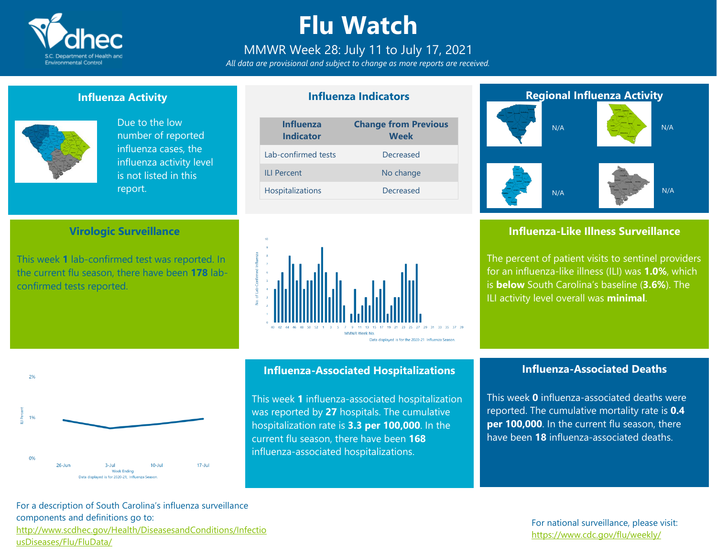

# **Flu Watch**

### MMWR Week 28: July 11 to July 17, 2021

*All data are provisional and subject to change as more reports are received.*

**Influenza Indicators**

#### **Influenza Activity**



 $20/$ 

 $19$ 

 $0%$ 

 $26$ -Jur

Due to the low number of reported influenza cases, the influenza activity level is not listed in this report.

#### **Virologic Surveillance**

This week **1** lab-confirmed test was reported. In the current flu season, there have been **178** labconfirmed tests reported.





### **Influenza-Associated Hospitalizations**

This week **1** influenza-associated hospitalization was reported by **27** hospitals. The cumulative hospitalization rate is **3.3 per 100,000**. In the current flu season, there have been **168** influenza-associated hospitalizations.

### **Regional Influenza Activity** N/A N/A N/A N/A

### **Influenza-Like Illness Surveillance**

The percent of patient visits to sentinel providers for an influenza-like illness (ILI) was **1.0%**, which is **below** South Carolina's baseline (**3.6%**). The ILI activity level overall was **minimal**.

### **Influenza-Associated Deaths**

This week **0** influenza-associated deaths were reported. The cumulative mortality rate is **0.4 per 100,000**. In the current flu season, there have been **18** influenza-associated deaths.

For a description of South Carolina's influenza surveillance components and definitions go to: [http://www.scdhec.gov/Health/DiseasesandConditions/Infectio](http://www.scdhec.gov/Health/DiseasesandConditions/InfectiousDiseases/Flu/FluData/) [usDiseases/Flu/FluData/](http://www.scdhec.gov/Health/DiseasesandConditions/InfectiousDiseases/Flu/FluData/)

 $10-1$ ul

 $3 - Ju$ 

Week Ending Data displayed is for 2020-21. Influenza Season  $17 - \text{Jul}$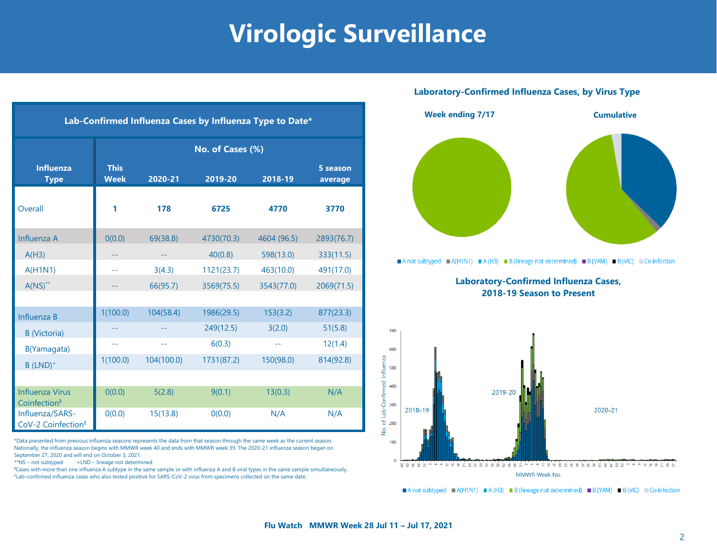# **Virologic Surveillance**

| Lab-Confirmed Influenza Cases by Influenza Type to Date* |                            |            |            |             |                     |  |  |  |  |
|----------------------------------------------------------|----------------------------|------------|------------|-------------|---------------------|--|--|--|--|
|                                                          | No. of Cases (%)           |            |            |             |                     |  |  |  |  |
| <b>Influenza</b><br><b>Type</b>                          | <b>This</b><br><b>Week</b> | 2020-21    | 2019-20    | 2018-19     | 5 season<br>average |  |  |  |  |
| Overall                                                  | 1                          | 178        | 6725       | 4770        | 3770                |  |  |  |  |
| Influenza A                                              | 0(0.0)                     | 69(38.8)   | 4730(70.3) | 4604 (96.5) | 2893(76.7)          |  |  |  |  |
| A(H3)                                                    |                            |            | 40(0.8)    | 598(13.0)   | 333(11.5)           |  |  |  |  |
| A(H1N1)                                                  | $-1$                       | 3(4.3)     | 1121(23.7) | 463(10.0)   | 491(17.0)           |  |  |  |  |
| $A(NS)^{**}$                                             |                            | 66(95.7)   | 3569(75.5) | 3543(77.0)  | 2069(71.5)          |  |  |  |  |
|                                                          |                            |            |            |             |                     |  |  |  |  |
| Influenza B                                              | 1(100.0)                   | 104(58.4)  | 1986(29.5) | 153(3.2)    | 877(23.3)           |  |  |  |  |
| <b>B</b> (Victoria)                                      |                            |            | 249(12.5)  | 3(2.0)      | 51(5.8)             |  |  |  |  |
| B(Yamagata)                                              | $-$                        | --         | 6(0.3)     | --          | 12(1.4)             |  |  |  |  |
| $B$ (LND) <sup>+</sup>                                   | 1(100.0)                   | 104(100.0) | 1731(87.2) | 150(98.0)   | 814(92.8)           |  |  |  |  |
|                                                          |                            |            |            |             |                     |  |  |  |  |
| <b>Influenza Virus</b><br>Coinfection <sup>§</sup>       | O(0.0)                     | 5(2.8)     | 9(0.1)     | 13(0.3)     | N/A                 |  |  |  |  |
| Influenza/SARS-<br>CoV-2 Coinfection <sup>£</sup>        | 0(0.0)                     | 15(13.8)   | 0(0.0)     | N/A         | N/A                 |  |  |  |  |

\*Data presented from previous influenza seasons represents the data from that season through the same week as the current season. Nationally, the influenza season begins with MMWR week 40 and ends with MMWR week 39. The 2020-21 influenza season began on September 27, 2020 and will end on October 3, 2021.

\*\*NS – not subtyped +LND – lineage not determined

§Cases with more than one influenza A subtype in the same sample or with influenza A and B viral types in the same sample simultaneously. £Lab-confirmed influenza cases who also tested positive for SARS-CoV-2 virus from specimens collected on the same date.

#### **Laboratory-Confirmed Influenza Cases, by Virus Type**



A not subtyped  $\blacksquare$  A(H1N1)  $\blacksquare$  A(H3)  $\blacksquare$  B (lineage not determined)  $\blacksquare$  B (YAM)  $\blacksquare$  B (VIC)  $\blacksquare$  Co-infection

**Laboratory-Confirmed Influenza Cases, 2018-19 Season to Present**



A not subtyped  $A(H1N1) = A(H3) = B$  (lineage not determined) B (YAM) B (VIC) Co-infection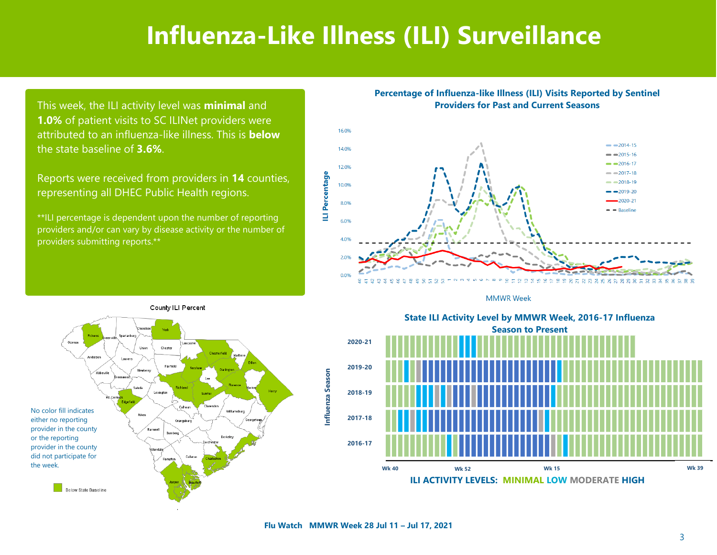## **Influenza-Like Illness (ILI) Surveillance**

This week, the ILI activity level was **minimal** and **1.0%** of patient visits to SC ILINet providers were attributed to an influenza-like illness. This is **below**  the state baseline of **3.6%**.

Reports were received from providers in **14** counties, representing all DHEC Public Health regions.

\*\*ILI percentage is dependent upon the number of reporting providers and/or can vary by disease activity or the number of providers submitting reports.\*\*









State ILI Activity Level by MMWR Week, 2016-17 Influenza **Season to Present** Season to Present **2020-21 2019-20 2018-19 2017-18 2016-17 State ILI Activity Level by MMWR Week, 2016-17 Influenza**

> **ILI ACTIVITY LEVELS: MINIMAL LOW MODERATE HIGH Wk 40 Wk 52 Wk 15 Wk 39**